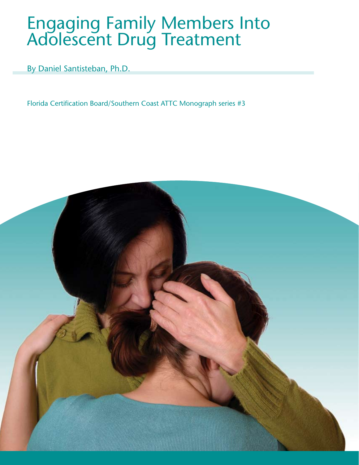# Engaging Family Members Into Adolescent Drug Treatment

By Daniel Santisteban, Ph.D.

Florida Certification Board/Southern Coast ATTC Monograph series #3

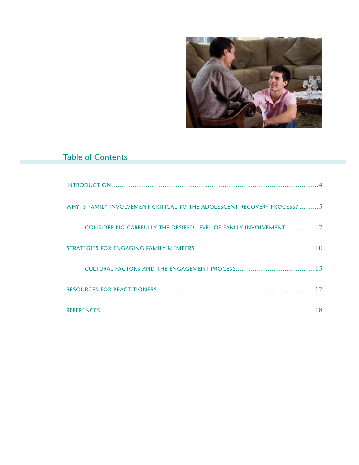

## Table of Contents

| WHY IS FAMILY INVOLVEMENT CRITICAL TO THE ADOLESCENT RECOVERY PROCESS? 5 |
|--------------------------------------------------------------------------|
| CONSIDERING CAREFULLY THE DESIRED LEVEL OF FAMILY INVOLVEMENT 7          |
|                                                                          |
|                                                                          |
|                                                                          |
| 18                                                                       |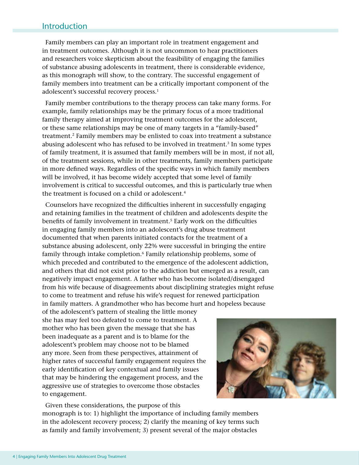## Introduction

Family members can play an important role in treatment engagement and in treatment outcomes. Although it is not uncommon to hear practitioners and researchers voice skepticism about the feasibility of engaging the families of substance abusing adolescents in treatment, there is considerable evidence, as this monograph will show, to the contrary. The successful engagement of family members into treatment can be a critically important component of the adolescent's successful recovery process.<sup>1</sup>

Family member contributions to the therapy process can take many forms. For example, family relationships may be the primary focus of a more traditional family therapy aimed at improving treatment outcomes for the adolescent, or these same relationships may be one of many targets in a "family-based" treatment.2 Family members may be enlisted to coax into treatment a substance abusing adolescent who has refused to be involved in treatment.<sup>3</sup> In some types of family treatment, it is assumed that family members will be in most, if not all, of the treatment sessions, while in other treatments, family members participate in more defined ways. Regardless of the specific ways in which family members will be involved, it has become widely accepted that some level of family involvement is critical to successful outcomes, and this is particularly true when the treatment is focused on a child or adolescent.<sup>4</sup>

Counselors have recognized the difficulties inherent in successfully engaging and retaining families in the treatment of children and adolescents despite the benefits of family involvement in treatment.<sup>5</sup> Early work on the difficulties in engaging family members into an adolescent's drug abuse treatment documented that when parents initiated contacts for the treatment of a substance abusing adolescent, only 22% were successful in bringing the entire family through intake completion.<sup>6</sup> Family relationship problems, some of which preceded and contributed to the emergence of the adolescent addiction, and others that did not exist prior to the addiction but emerged as a result, can negatively impact engagement. A father who has become isolated/disengaged from his wife because of disagreements about disciplining strategies might refuse to come to treatment and refuse his wife's request for renewed participation in family matters. A grandmother who has become hurt and hopeless because

of the adolescent's pattern of stealing the little money she has may feel too defeated to come to treatment. A mother who has been given the message that she has been inadequate as a parent and is to blame for the adolescent's problem may choose not to be blamed any more. Seen from these perspectives, attainment of higher rates of successful family engagement requires the early identification of key contextual and family issues that may be hindering the engagement process, and the aggressive use of strategies to overcome those obstacles to engagement.

Given these considerations, the purpose of this



monograph is to: 1) highlight the importance of including family members in the adolescent recovery process; 2) clarify the meaning of key terms such as family and family involvement; 3) present several of the major obstacles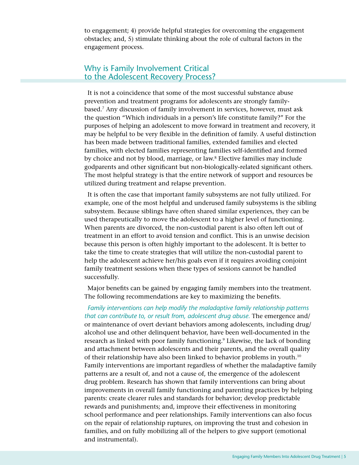to engagement; 4) provide helpful strategies for overcoming the engagement obstacles; and, 5) stimulate thinking about the role of cultural factors in the engagement process.

## Why is Family Involvement Critical to the Adolescent Recovery Process?

It is not a coincidence that some of the most successful substance abuse prevention and treatment programs for adolescents are strongly familybased.7 Any discussion of family involvement in services, however, must ask the question "Which individuals in a person's life constitute family?" For the purposes of helping an adolescent to move forward in treatment and recovery, it may be helpful to be very flexible in the definition of family. A useful distinction has been made between traditional families, extended families and elected families, with elected families representing families self-identified and formed by choice and not by blood, marriage, or law.8 Elective families may include godparents and other significant but non-biologically-related significant others. The most helpful strategy is that the entire network of support and resources be utilized during treatment and relapse prevention.

It is often the case that important family subsystems are not fully utilized. For example, one of the most helpful and underused family subsystems is the sibling subsystem. Because siblings have often shared similar experiences, they can be used therapeutically to move the adolescent to a higher level of functioning. When parents are divorced, the non-custodial parent is also often left out of treatment in an effort to avoid tension and conflict. This is an unwise decision because this person is often highly important to the adolescent. It is better to take the time to create strategies that will utilize the non-custodial parent to help the adolescent achieve her/his goals even if it requires avoiding conjoint family treatment sessions when these types of sessions cannot be handled successfully.

Major benefits can be gained by engaging family members into the treatment. The following recommendations are key to maximizing the benefits.

*Family interventions can help modify the maladaptive family relationship patterns that can contribute to, or result from, adolescent drug abuse.* The emergence and/ or maintenance of overt deviant behaviors among adolescents, including drug/ alcohol use and other delinquent behavior, have been well-documented in the research as linked with poor family functioning.<sup>9</sup> Likewise, the lack of bonding and attachment between adolescents and their parents, and the overall quality of their relationship have also been linked to behavior problems in youth.10 Family interventions are important regardless of whether the maladaptive family patterns are a result of, and not a cause of, the emergence of the adolescent drug problem. Research has shown that family interventions can bring about improvements in overall family functioning and parenting practices by helping parents: create clearer rules and standards for behavior; develop predictable rewards and punishments; and, improve their effectiveness in monitoring school performance and peer relationships. Family interventions can also focus on the repair of relationship ruptures, on improving the trust and cohesion in families, and on fully mobilizing all of the helpers to give support (emotional and instrumental).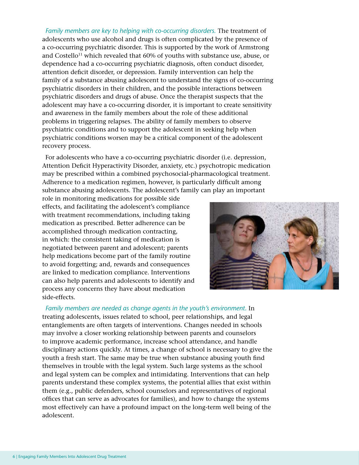*Family members are key to helping with co-occurring disorders.* The treatment of adolescents who use alcohol and drugs is often complicated by the presence of a co-occurring psychiatric disorder. This is supported by the work of Armstrong and Costello<sup>11</sup> which revealed that  $60\%$  of youths with substance use, abuse, or dependence had a co-occurring psychiatric diagnosis, often conduct disorder, attention deficit disorder, or depression. Family intervention can help the family of a substance abusing adolescent to understand the signs of co-occurring psychiatric disorders in their children, and the possible interactions between psychiatric disorders and drugs of abuse. Once the therapist suspects that the adolescent may have a co-occurring disorder, it is important to create sensitivity and awareness in the family members about the role of these additional problems in triggering relapses. The ability of family members to observe psychiatric conditions and to support the adolescent in seeking help when psychiatric conditions worsen may be a critical component of the adolescent recovery process.

For adolescents who have a co-occurring psychiatric disorder (i.e. depression, Attention Deficit Hyperactivity Disorder, anxiety, etc.) psychotropic medication may be prescribed within a combined psychosocial-pharmacological treatment. Adherence to a medication regimen, however, is particularly difficult among substance abusing adolescents. The adolescent's family can play an important

role in monitoring medications for possible side effects, and facilitating the adolescent's compliance with treatment recommendations, including taking medication as prescribed. Better adherence can be accomplished through medication contracting, in which: the consistent taking of medication is negotiated between parent and adolescent; parents help medications become part of the family routine to avoid forgetting; and, rewards and consequences are linked to medication compliance. Interventions can also help parents and adolescents to identify and process any concerns they have about medication side-effects.



Family members are needed as change agents in the youth's environment. In treating adolescents, issues related to school, peer relationships, and legal entanglements are often targets of interventions. Changes needed in schools may involve a closer working relationship between parents and counselors to improve academic performance, increase school attendance, and handle disciplinary actions quickly. At times, a change of school is necessary to give the youth a fresh start. The same may be true when substance abusing youth find themselves in trouble with the legal system. Such large systems as the school and legal system can be complex and intimidating. Interventions that can help parents understand these complex systems, the potential allies that exist within them (e.g., public defenders, school counselors and representatives of regional offices that can serve as advocates for families), and how to change the systems most effectively can have a profound impact on the long-term well being of the adolescent.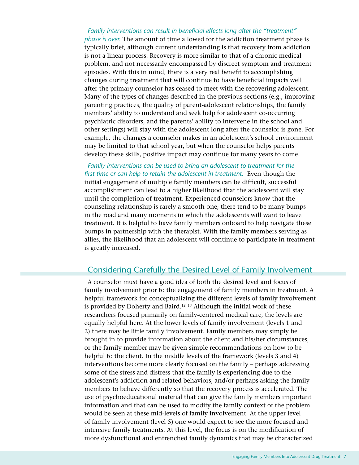### *Family interventions can result in beneficial effects long after the "treatment" phase is over.* The amount of time allowed for the addiction treatment phase is typically brief, although current understanding is that recovery from addiction is not a linear process. Recovery is more similar to that of a chronic medical problem, and not necessarily encompassed by discreet symptom and treatment episodes. With this in mind, there is a very real benefit to accomplishing changes during treatment that will continue to have beneficial impacts well after the primary counselor has ceased to meet with the recovering adolescent. Many of the types of changes described in the previous sections (e.g., improving parenting practices, the quality of parent-adolescent relationships, the family members' ability to understand and seek help for adolescent co-occurring psychiatric disorders, and the parents' ability to intervene in the school and other settings) will stay with the adolescent long after the counselor is gone. For example, the changes a counselor makes in an adolescent's school environment may be limited to that school year, but when the counselor helps parents develop these skills, positive impact may continue for many years to come.

*Family interventions can be used to bring an adolescent to treatment for the first time or can help to retain the adolescent in treatment.* Even though the initial engagement of multiple family members can be difficult, successful accomplishment can lead to a higher likelihood that the adolescent will stay until the completion of treatment. Experienced counselors know that the counseling relationship is rarely a smooth one; there tend to be many bumps in the road and many moments in which the adolescents will want to leave treatment. It is helpful to have family members onboard to help navigate these bumps in partnership with the therapist. With the family members serving as allies, the likelihood that an adolescent will continue to participate in treatment is greatly increased.

## Considering Carefully the Desired Level of Family Involvement

A counselor must have a good idea of both the desired level and focus of family involvement prior to the engagement of family members in treatment. A helpful framework for conceptualizing the different levels of family involvement is provided by Doherty and Baird.<sup>12, 13</sup> Although the initial work of these researchers focused primarily on family-centered medical care, the levels are equally helpful here. At the lower levels of family involvement (levels 1 and 2) there may be little family involvement. Family members may simply be brought in to provide information about the client and his/her circumstances, or the family member may be given simple recommendations on how to be helpful to the client. In the middle levels of the framework (levels 3 and 4) interventions become more clearly focused on the family – perhaps addressing some of the stress and distress that the family is experiencing due to the adolescent's addiction and related behaviors, and/or perhaps asking the family members to behave differently so that the recovery process is accelerated. The use of psychoeducational material that can give the family members important information and that can be used to modify the family context of the problem would be seen at these mid-levels of family involvement. At the upper level of family involvement (level 5) one would expect to see the more focused and intensive family treatments. At this level, the focus is on the modification of more dysfunctional and entrenched family dynamics that may be characterized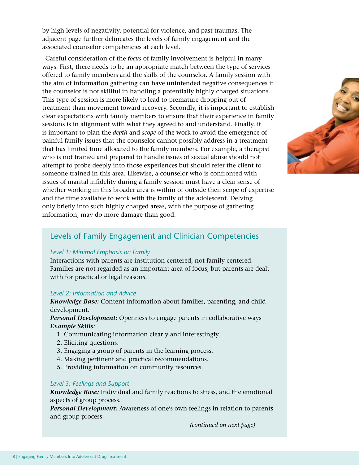by high levels of negativity, potential for violence, and past traumas. The adjacent page further delineates the levels of family engagement and the associated counselor competencies at each level.

Careful consideration of the *focus* of family involvement is helpful in many ways. First, there needs to be an appropriate match between the type of services offered to family members and the skills of the counselor. A family session with the aim of information gathering can have unintended negative consequences if the counselor is not skillful in handling a potentially highly charged situations. This type of session is more likely to lead to premature dropping out of treatment than movement toward recovery. Secondly, it is important to establish clear expectations with family members to ensure that their experience in family sessions is in alignment with what they agreed to and understand. Finally, it is important to plan the *depth* and *scope* of the work to avoid the emergence of painful family issues that the counselor cannot possibly address in a treatment that has limited time allocated to the family members. For example, a therapist who is not trained and prepared to handle issues of sexual abuse should not attempt to probe deeply into those experiences but should refer the client to someone trained in this area. Likewise, a counselor who is confronted with issues of marital infidelity during a family session must have a clear sense of whether working in this broader area is within or outside their scope of expertise and the time available to work with the family of the adolescent. Delving only briefly into such highly charged areas, with the purpose of gathering information, may do more damage than good.



## Levels of Family Engagement and Clinician Competencies

#### *Level 1: Minimal Emphasis on Family*

Interactions with parents are institution centered, not family centered. Families are not regarded as an important area of focus, but parents are dealt with for practical or legal reasons.

#### *Level 2: Information and Advice*

*Knowledge Base:* Content information about families, parenting, and child development.

*Personal Development:* Openness to engage parents in collaborative ways *Example Skills:*

- 1. Communicating information clearly and interestingly.
- 2. Eliciting questions.
- 3. Engaging a group of parents in the learning process.
- 4. Making pertinent and practical recommendations.
- 5. Providing information on community resources.

#### *Level 3: Feelings and Support*

*Knowledge Base:* Individual and family reactions to stress, and the emotional aspects of group process.

*Personal Development:* Awareness of one's own feelings in relation to parents and group process.

*(continued on next page)*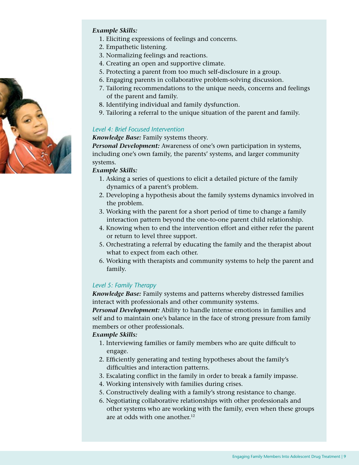

#### *Example Skills:*

- 1. Eliciting expressions of feelings and concerns.
- 2. Empathetic listening.
- 3. Normalizing feelings and reactions.
- 4. Creating an open and supportive climate.
- 5. Protecting a parent from too much self-disclosure in a group.
- 6. Engaging parents in collaborative problem-solving discussion.
- 7. Tailoring recommendations to the unique needs, concerns and feelings of the parent and family.
- 8. Identifying individual and family dysfunction.
- 9. Tailoring a referral to the unique situation of the parent and family.

#### *Level 4: Brief Focused Intervention*

*Knowledge Base:* Family systems theory.

*Personal Development:* Awareness of one's own participation in systems, including one's own family, the parents' systems, and larger community systems.

#### *Example Skills:*

- 1. Asking a series of questions to elicit a detailed picture of the family dynamics of a parent's problem.
- 2. Developing a hypothesis about the family systems dynamics involved in the problem.
- 3. Working with the parent for a short period of time to change a family interaction pattern beyond the one-to-one parent child relationship.
- 4. Knowing when to end the intervention effort and either refer the parent or return to level three support.
- 5. Orchestrating a referral by educating the family and the therapist about what to expect from each other.
- 6. Working with therapists and community systems to help the parent and family.

#### *Level 5: Family Therapy*

*Knowledge Base:* Family systems and patterns whereby distressed families interact with professionals and other community systems.

*Personal Development:* Ability to handle intense emotions in families and self and to maintain one's balance in the face of strong pressure from family members or other professionals.

#### *Example Skills:*

- 1. Interviewing families or family members who are quite difficult to engage.
- 2. Efficiently generating and testing hypotheses about the family's difficulties and interaction patterns.
- 3. Escalating conflict in the family in order to break a family impasse.
- 4. Working intensively with families during crises.
- 5. Constructively dealing with a family's strong resistance to change.
- 6. Negotiating collaborative relationships with other professionals and other systems who are working with the family, even when these groups are at odds with one another.<sup>12</sup>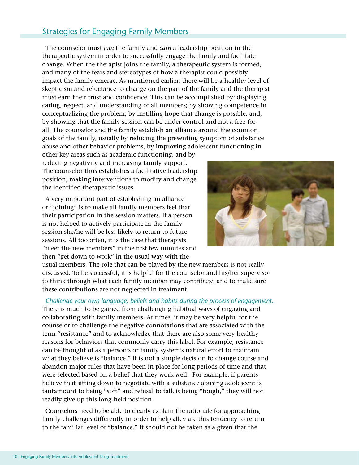## Strategies for Engaging Family Members

The counselor must *join* the family and *earn* a leadership position in the therapeutic system in order to successfully engage the family and facilitate change. When the therapist joins the family, a therapeutic system is formed, and many of the fears and stereotypes of how a therapist could possibly impact the family emerge. As mentioned earlier, there will be a healthy level of skepticism and reluctance to change on the part of the family and the therapist must earn their trust and confidence. This can be accomplished by: displaying caring, respect, and understanding of all members; by showing competence in conceptualizing the problem; by instilling hope that change is possible; and, by showing that the family session can be under control and not a free-forall. The counselor and the family establish an alliance around the common goals of the family, usually by reducing the presenting symptom of substance abuse and other behavior problems, by improving adolescent functioning in

other key areas such as academic functioning, and by reducing negativity and increasing family support. The counselor thus establishes a facilitative leadership position, making interventions to modify and change the identified therapeutic issues.

A very important part of establishing an alliance or "joining" is to make all family members feel that their participation in the session matters. If a person is not helped to actively participate in the family session she/he will be less likely to return to future sessions. All too often, it is the case that therapists "meet the new members" in the first few minutes and then "get down to work" in the usual way with the



usual members. The role that can be played by the new members is not really discussed. To be successful, it is helpful for the counselor and his/her supervisor to think through what each family member may contribute, and to make sure these contributions are not neglected in treatment.

*Challenge your own language, beliefs and habits during the process of engagement.*  There is much to be gained from challenging habitual ways of engaging and collaborating with family members. At times, it may be very helpful for the counselor to challenge the negative connotations that are associated with the term "resistance" and to acknowledge that there are also some very healthy reasons for behaviors that commonly carry this label. For example, resistance can be thought of as a person's or family system's natural effort to maintain what they believe is "balance." It is not a simple decision to change course and abandon major rules that have been in place for long periods of time and that were selected based on a belief that they work well. For example, if parents believe that sitting down to negotiate with a substance abusing adolescent is tantamount to being "soft" and refusal to talk is being "tough," they will not readily give up this long-held position.

Counselors need to be able to clearly explain the rationale for approaching family challenges differently in order to help alleviate this tendency to return to the familiar level of "balance." It should not be taken as a given that the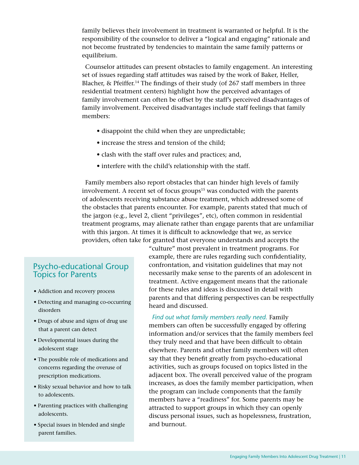family believes their involvement in treatment is warranted or helpful. It is the responsibility of the counselor to deliver a "logical and engaging" rationale and not become frustrated by tendencies to maintain the same family patterns or equilibrium.

Counselor attitudes can present obstacles to family engagement. An interesting set of issues regarding staff attitudes was raised by the work of Baker, Heller, Blacher, & Pfeiffer.14 The findings of their study (of 267 staff members in three residential treatment centers) highlight how the perceived advantages of family involvement can often be offset by the staff's perceived disadvantages of family involvement. Perceived disadvantages include staff feelings that family members:

- disappoint the child when they are unpredictable;
- increase the stress and tension of the child;
- clash with the staff over rules and practices; and,
- interfere with the child's relationship with the staff.

Family members also report obstacles that can hinder high levels of family involvement. A recent set of focus groups<sup>15</sup> was conducted with the parents of adolescents receiving substance abuse treatment, which addressed some of the obstacles that parents encounter. For example, parents stated that much of the jargon (e.g., level 2, client "privileges", etc), often common in residential treatment programs, may alienate rather than engage parents that are unfamiliar with this jargon. At times it is difficult to acknowledge that we, as service providers, often take for granted that everyone understands and accepts the

## Psycho-educational Group Topics for Parents

- Addiction and recovery process
- Detecting and managing co-occurring disorders
- Drugs of abuse and signs of drug use that a parent can detect
- Developmental issues during the adolescent stage
- The possible role of medications and concerns regarding the overuse of prescription medications.
- Risky sexual behavior and how to talk to adolescents.
- Parenting practices with challenging adolescents.
- Special issues in blended and single parent families.

"culture" most prevalent in treatment programs. For example, there are rules regarding such confidentiality, confrontation, and visitation guidelines that may not necessarily make sense to the parents of an adolescent in treatment. Active engagement means that the rationale for these rules and ideas is discussed in detail with parents and that differing perspectives can be respectfully heard and discussed.

*Find out what family members really need.* Family members can often be successfully engaged by offering information and/or services that the family members feel they truly need and that have been difficult to obtain elsewhere. Parents and other family members will often say that they benefit greatly from psycho-educational activities, such as groups focused on topics listed in the adjacent box. The overall perceived value of the program increases, as does the family member participation, when the program can include components that the family members have a "readiness" for. Some parents may be attracted to support groups in which they can openly discuss personal issues, such as hopelessness, frustration, and burnout.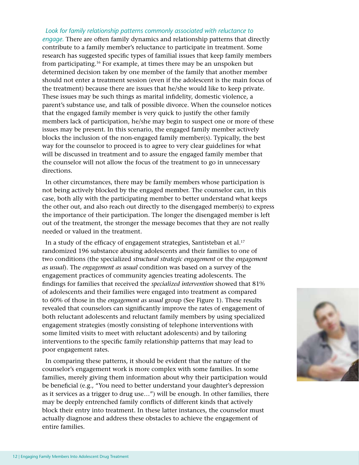*Look for family relationship patterns commonly associated with reluctance to engage.* There are often family dynamics and relationship patterns that directly contribute to a family member's reluctance to participate in treatment. Some research has suggested specific types of familial issues that keep family members from participating.16 For example, at times there may be an unspoken but determined decision taken by one member of the family that another member should not enter a treatment session (even if the adolescent is the main focus of the treatment) because there are issues that he/she would like to keep private. These issues may be such things as marital infidelity, domestic violence, a parent's substance use, and talk of possible divorce. When the counselor notices that the engaged family member is very quick to justify the other family members lack of participation, he/she may begin to suspect one or more of these issues may be present. In this scenario, the engaged family member actively blocks the inclusion of the non-engaged family member(s). Typically, the best way for the counselor to proceed is to agree to very clear guidelines for what will be discussed in treatment and to assure the engaged family member that the counselor will not allow the focus of the treatment to go in unnecessary directions.

In other circumstances, there may be family members whose participation is not being actively blocked by the engaged member. The counselor can, in this case, both ally with the participating member to better understand what keeps the other out, and also reach out directly to the disengaged member(s) to express the importance of their participation. The longer the disengaged member is left out of the treatment, the stronger the message becomes that they are not really needed or valued in the treatment.

In a study of the efficacy of engagement strategies, Santisteban et al.<sup>17</sup> randomized 196 substance abusing adolescents and their families to one of two conditions (the specialized *structural strategic engagement* or the *engagement as usual*). The *engagement as usual* condition was based on a survey of the engagement practices of community agencies treating adolescents. The findings for families that received the *specialized intervention* showed that 81% of adolescents and their families were engaged into treatment as compared to 60% of those in the *engagement as usual* group (See Figure 1). These results revealed that counselors can significantly improve the rates of engagement of both reluctant adolescents and reluctant family members by using specialized engagement strategies (mostly consisting of telephone interventions with some limited visits to meet with reluctant adolescents) and by tailoring interventions to the specific family relationship patterns that may lead to poor engagement rates.

In comparing these patterns, it should be evident that the nature of the counselor's engagement work is more complex with some families. In some families, merely giving them information about why their participation would be beneficial (e.g., "You need to better understand your daughter's depression as it services as a trigger to drug use…") will be enough. In other families, there may be deeply entrenched family conflicts of different kinds that actively block their entry into treatment. In these latter instances, the counselor must actually diagnose and address these obstacles to achieve the engagement of entire families.

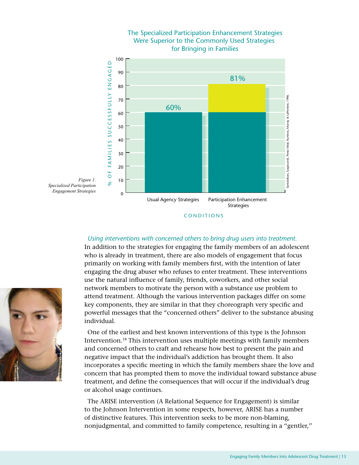

## The Specialized Participation Enhancement Strategies Were Superior to the Commonly Used Strategies

#### *Using interventions with concerned others to bring drug users into treatment.*

In addition to the strategies for engaging the family members of an adolescent who is already in treatment, there are also models of engagement that focus primarily on working with family members first, with the intention of later engaging the drug abuser who refuses to enter treatment. These interventions use the natural influence of family, friends, coworkers, and other social network members to motivate the person with a substance use problem to attend treatment. Although the various intervention packages differ on some key components, they are similar in that they choreograph very specific and powerful messages that the "concerned others" deliver to the substance abusing individual.

One of the earliest and best known interventions of this type is the Johnson Intervention.18 This intervention uses multiple meetings with family members and concerned others to craft and rehearse how best to present the pain and negative impact that the individual's addiction has brought them. It also incorporates a specific meeting in which the family members share the love and concern that has prompted them to move the individual toward substance abuse treatment, and define the consequences that will occur if the individual's drug or alcohol usage continues.

The ARISE intervention (A Relational Sequence for Engagement) is similar to the Johnson Intervention in some respects, however, ARISE has a number of distinctive features. This intervention seeks to be more non-blaming, nonjudgmental, and committed to family competence, resulting in a ''gentler,''



CONDITIONS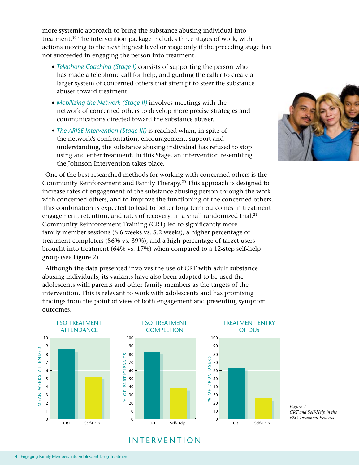more systemic approach to bring the substance abusing individual into treatment.19 The intervention package includes three stages of work, with actions moving to the next highest level or stage only if the preceding stage has not succeeded in engaging the person into treatment.

- *Telephone Coaching (Stage I)* consists of supporting the person who has made a telephone call for help, and guiding the caller to create a larger system of concerned others that attempt to steer the substance abuser toward treatment.
- *Mobilizing the Network (Stage II)* involves meetings with the network of concerned others to develop more precise strategies and communications directed toward the substance abuser.
- *The ARISE Intervention (Stage III)* is reached when, in spite of the network's confrontation, encouragement, support and understanding, the substance abusing individual has refused to stop using and enter treatment. In this Stage, an intervention resembling the Johnson Intervention takes place.

One of the best researched methods for working with concerned others is the Community Reinforcement and Family Therapy.<sup>20</sup> This approach is designed to increase rates of engagement of the substance abusing person through the work with concerned others, and to improve the functioning of the concerned others. This combination is expected to lead to better long term outcomes in treatment engagement, retention, and rates of recovery. In a small randomized trial, $21$ Community Reinforcement Training (CRT) led to significantly more family member sessions (8.6 weeks vs. 5.2 weeks), a higher percentage of treatment completers (86% vs. 39%), and a high percentage of target users brought into treatment (64% vs. 17%) when compared to a 12-step self-help group (see Figure 2).

Although the data presented involves the use of CRT with adult substance abusing individuals, its variants have also been adapted to be used the adolescents with parents and other family members as the targets of the intervention. This is relevant to work with adolescents and has promising findings from the point of view of both engagement and presenting symptom outcomes.







TREATMENT ENTRY

CRT Self-Help

 $\overline{0}$ 

 $\frac{1}{2}$ 

*Figure 2. CRT and Self-Help in the FSO Treatment Process*

## **INTERVENTION**

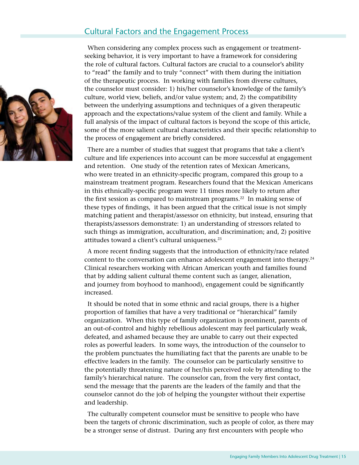## Cultural Factors and the Engagement Process

When considering any complex process such as engagement or treatmentseeking behavior, it is very important to have a framework for considering the role of cultural factors. Cultural factors are crucial to a counselor's ability to "read" the family and to truly "connect" with them during the initiation of the therapeutic process. In working with families from diverse cultures, the counselor must consider: 1) his/her counselor's knowledge of the family's culture, world view, beliefs, and/or value system; and, 2) the compatibility between the underlying assumptions and techniques of a given therapeutic approach and the expectations/value system of the client and family. While a full analysis of the impact of cultural factors is beyond the scope of this article, some of the more salient cultural characteristics and their specific relationship to the process of engagement are briefly considered.

There are a number of studies that suggest that programs that take a client's culture and life experiences into account can be more successful at engagement and retention. One study of the retention rates of Mexican Americans, who were treated in an ethnicity-specific program, compared this group to a mainstream treatment program. Researchers found that the Mexican Americans in this ethnically-specific program were 11 times more likely to return after the first session as compared to mainstream programs.<sup>22</sup> In making sense of these types of findings, it has been argued that the critical issue is not simply matching patient and therapist/assessor on ethnicity, but instead, ensuring that therapists/assessors demonstrate: 1) an understanding of stressors related to such things as immigration, acculturation, and discrimination; and, 2) positive attitudes toward a client's cultural uniqueness.<sup>23</sup>

A more recent finding suggests that the introduction of ethnicity/race related content to the conversation can enhance adolescent engagement into therapy. $24$ Clinical researchers working with African American youth and families found that by adding salient cultural theme content such as (anger, alienation, and journey from boyhood to manhood), engagement could be significantly increased.

It should be noted that in some ethnic and racial groups, there is a higher proportion of families that have a very traditional or "hierarchical" family organization. When this type of family organization is prominent, parents of an out-of-control and highly rebellious adolescent may feel particularly weak, defeated, and ashamed because they are unable to carry out their expected roles as powerful leaders. In some ways, the introduction of the counselor to the problem punctuates the humiliating fact that the parents are unable to be effective leaders in the family. The counselor can be particularly sensitive to the potentially threatening nature of her/his perceived role by attending to the family's hierarchical nature. The counselor can, from the very first contact, send the message that the parents are the leaders of the family and that the counselor cannot do the job of helping the youngster without their expertise and leadership.

The culturally competent counselor must be sensitive to people who have been the targets of chronic discrimination, such as people of color, as there may be a stronger sense of distrust. During any first encounters with people who

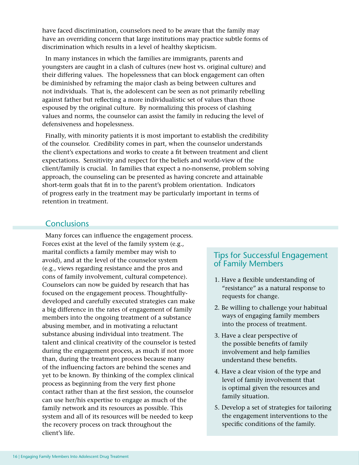have faced discrimination, counselors need to be aware that the family may have an overriding concern that large institutions may practice subtle forms of discrimination which results in a level of healthy skepticism.

In many instances in which the families are immigrants, parents and youngsters are caught in a clash of cultures (new host vs. original culture) and their differing values. The hopelessness that can block engagement can often be diminished by reframing the major clash as being between cultures and not individuals. That is, the adolescent can be seen as not primarily rebelling against father but reflecting a more individualistic set of values than those espoused by the original culture. By normalizing this process of clashing values and norms, the counselor can assist the family in reducing the level of defensiveness and hopelessness.

Finally, with minority patients it is most important to establish the credibility of the counselor. Credibility comes in part, when the counselor understands the client's expectations and works to create a fit between treatment and client expectations. Sensitivity and respect for the beliefs and world-view of the client/family is crucial. In families that expect a no-nonsense, problem solving approach, the counseling can be presented as having concrete and attainable short-term goals that fit in to the parent's problem orientation. Indicators of progress early in the treatment may be particularly important in terms of retention in treatment.

## **Conclusions**

Many forces can influence the engagement process. Forces exist at the level of the family system (e.g., marital conflicts a family member may wish to avoid), and at the level of the counselor system (e.g., views regarding resistance and the pros and cons of family involvement, cultural competence). Counselors can now be guided by research that has focused on the engagement process. Thoughtfullydeveloped and carefully executed strategies can make a big difference in the rates of engagement of family members into the ongoing treatment of a substance abusing member, and in motivating a reluctant substance abusing individual into treatment. The talent and clinical creativity of the counselor is tested during the engagement process, as much if not more than, during the treatment process because many of the influencing factors are behind the scenes and yet to be known. By thinking of the complex clinical process as beginning from the very first phone contact rather than at the first session, the counselor can use her/his expertise to engage as much of the family network and its resources as possible. This system and all of its resources will be needed to keep the recovery process on track throughout the client's life.

## Tips for Successful Engagement of Family Members

- 1. Have a flexible understanding of "resistance" as a natural response to requests for change.
- 2. Be willing to challenge your habitual ways of engaging family members into the process of treatment.
- 3. Have a clear perspective of the possible benefits of family involvement and help families understand these benefits.
- 4. Have a clear vision of the type and level of family involvement that is optimal given the resources and family situation.
- 5. Develop a set of strategies for tailoring the engagement interventions to the specific conditions of the family.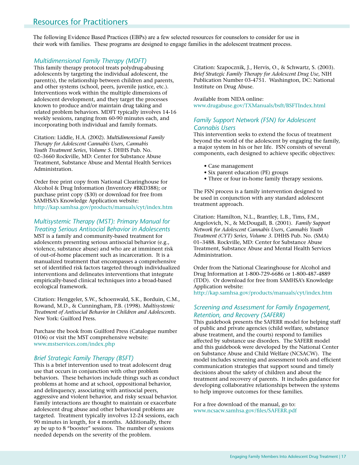## Resources for Practitioners

The following Evidence Based Practices (EBPs) are a few selected resources for counselors to consider for use in their work with families. These programs are designed to engage families in the adolescent treatment process.

#### *Multidimensional Family Therapy (MDFT)*

This family therapy protocol treats polydrug-abusing adolescents by targeting the individual adolescent, the parent(s), the relationship between children and parents, and other systems (school, peers, juvenile justice, etc.). Interventions work within the multiple dimensions of adolescent development, and they target the processes known to produce and/or maintain drug taking and related problem behaviors. MDFT typically involves 14-16 weekly sessions, ranging from 60-90 minutes each, and incorporating both individual and family formats.

Citation: Liddle, H.A. (2002). *Multidimensional Family Therapy for Adolescent Cannabis Users, Cannabis Youth Treatment Series, Volume 5.* DHHS Pub. No. 02–3660 Rockville, MD: Center for Substance Abuse Treatment, Substance Abuse and Mental Health Services Administration.

Order free print copy from National Clearinghouse for Alcohol & Drug Information (Inventory #BKD388); or purchase print copy (\$30) or download for free from SAMHSA's Knowledge Application website: http://kap.samhsa.gov/products/manuals/cyt/index.htm

#### *Multisystemic Therapy (MST): Primary Manual for Treating Serious Antisocial Behavior in Adolescents*

MST is a family and community-based treatment for adolescents presenting serious antisocial behavior (e.g., violence, substance abuse) and who are at imminent risk of out-of-home placement such as incarceration. It is a manualized treatment that encompasses a comprehensive set of identified risk factors targeted through individualized interventions and delineates interventions that integrate empirically-based clinical techniques into a broad-based ecological framework.

Citation: Henggeler, S.W., Schoenwald, S.K., Borduin, C.M., Rowand, M.D., & Cunningham, P.B. (1998). *Multisystemic Treatment of Antisocial Behavior in Children and Adolescents.* New York: Guilford Press.

Purchase the book from Guilford Press (Catalogue number 0106) or visit the MST comprehensive website: www.mstservices.com/index.php

#### *Brief Strategic Family Therapy (BSFT)*

This is a brief intervention used to treat adolescent drug use that occurs in conjunction with other problem behaviors. These behaviors include things such as conduct problems at home and at school, oppositional behavior, and delinquency, associating with antisocial peers, aggressive and violent behavior, and risky sexual behavior. Family interactions are thought to maintain or exacerbate adolescent drug abuse and other behavioral problems are targeted. Treatment typically involves 12-24 sessions, each 90 minutes in length, for 4 months. Additionally, there ay be up to 8 "booster" sessions. The number of sessions needed depends on the severity of the problem.

Citation: Szapocznik, J., Hervis, O., & Schwartz, S. (2003). *Brief Strategic Family Therapy for Adolescent Drug Use,* NIH Publication Number 03-4751. Washington, DC: National Institute on Drug Abuse.

Available from NIDA online: www.drugabuse.gov/TXManuals/bsft/BSFTIndex.html

#### *Family Support Network (FSN) for Adolescent Cannabis Users*

This intervention seeks to extend the focus of treatment beyond the world of the adolescent by engaging the family, a major system in his or her life. FSN consists of several components, each designed to achieve specific objectives:

- Case management
- Six parent education (PE) groups
- Three or four in-home family therapy sessions.

The FSN process is a family intervention designed to be used in conjunction with any standard adolescent treatment approach.

Citation: Hamilton, N.L., Brantley, L.B., Tims, F.M., Angelovich, N., & McDougall, B. (2001). *Family Support Network for Adolescent Cannabis Users, Cannabis Youth Treatment (CYT) Series, Volume 3.* DHHS Pub. No. (SMA) 01–3488. Rockville, MD: Center for Substance Abuse Treatment, Substance Abuse and Mental Health Services Administration.

Order from the National Clearinghouse for Alcohol and Drug Information at 1-800-729-6686 or 1-800-487-4889 (TDD). Or download for free from SAMHSA's Knowledge Application website:

http://kap.samhsa.gov/products/manuals/cyt/index.htm

#### *Screening and Assessment for Family Engagement, Retention, and Recovery (SAFERR)*

This guidebook presents the SAFERR model for helping staff of public and private agencies (child welfare, substance abuse treatment, and the courts) respond to families affected by substance use disorders. The SAFERR model and this guidebook were developed by the National Center on Substance Abuse and Child Welfare (NCSACW). The model includes screening and assessment tools and efficient communication strategies that support sound and timely decisions about the safety of children and about the treatment and recovery of parents. It includes guidance for developing collaborative relationships between the systems to help improve outcomes for these families.

For a free download of the manual, go to: www.ncsacw.samhsa.gov/files/SAFERR.pdf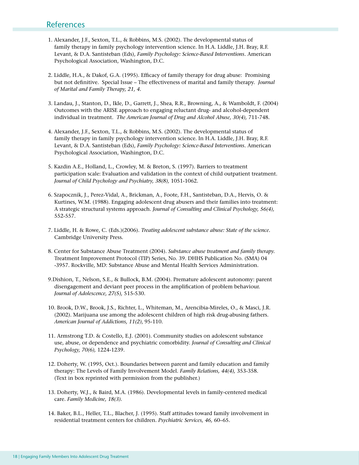### **References**

- 1. Alexander, J.F., Sexton, T.L., & Robbins, M.S. (2002). The developmental status of family therapy in family psychology intervention science. In H.A. Liddle, J.H. Bray, R.F. Levant, & D.A. Santisteban (Eds), *Family Psychology: Science-Based Interventions*. American Psychological Association, Washington, D.C.
- 2. Liddle, H.A., & Dakof, G.A. (1995). Efficacy of family therapy for drug abuse: Promising but not definitive. Special Issue – The effectiveness of marital and family therapy. *Journal of Marital and Family Therapy, 21, 4.*
- 3. Landau, J., Stanton, D., Ikle, D., Garrett, J., Shea, R.R., Browning, A., & Wamboldt, F. (2004) Outcomes with the ARISE approach to engaging reluctant drug- and alcohol-dependent individual in treatment. *The American Journal of Drug and Alcohol Abuse, 30(4),* 711-748.
- 4. Alexander, J.F., Sexton, T.L., & Robbins, M.S. (2002). The developmental status of family therapy in family psychology intervention science. In H.A. Liddle, J.H. Bray, R.F. Levant, & D.A. Santisteban (Eds), *Family Psychology: Science-Based Interventions.* American Psychological Association, Washington, D.C.
- 5. Kazdin A.E., Holland, L., Crowley, M. & Breton, S. (1997). Barriers to treatment participation scale: Evaluation and validation in the context of child outpatient treatment. *Journal of Child Psychology and Psychiatry, 38(8),* 1051-1062.
- 6. Szapocznik, J., Perez-Vidal, A., Brickman, A., Foote, F.H., Santisteban, D.A., Hervis, O. & Kurtines, W.M. (1988). Engaging adolescent drug abusers and their families into treatment: A strategic structural systems approach. *Journal of Consulting and Clinical Psychology, 56(4),* 552-557.
- 7. Liddle, H. & Rowe, C. (Eds.)(2006). *Treating adolescent substance abuse: State of the science.*  Cambridge University Press.
- 8. Center for Substance Abuse Treatment (2004). *Substance abuse treatment and family therapy.* Treatment Improvement Protocol (TIP) Series, No. 39. DHHS Publication No. (SMA) 04 -3957. Rockville, MD: Substance Abuse and Mental Health Services Administration.
- 9.Dishion, T., Nelson, S.E., & Bullock, B.M. (2004). Premature adolescent autonomy: parent disengagement and deviant peer process in the amplification of problem behaviour. *Journal of Adolescence, 27(5),* 515-530.
- 10. Brook, D.W., Brook, J.S., Richter, L., Whiteman, M., Arencibia-Mireles, O., & Masci, J.R. (2002). Marijuana use among the adolescent children of high risk drug-abusing fathers. *American Journal of Addictions, 11(2)*, 95-110.
- 11. Armstrong T.D. & Costello, E.J. (2001). Community studies on adolescent substance use, abuse, or dependence and psychiatric comorbidity. *Journal of Consulting and Clinical Psychology, 70(6),* 1224-1239.
- 12. Doherty, W. (1995, Oct.). Boundaries between parent and family education and family therapy: The Levels of Family Involvement Model. *Family Relations, 44(4),* 353-358. (Text in box reprinted with permission from the publisher.)
- 13. Doherty, W.J., & Baird, M.A. (1986). Developmental levels in family-centered medical care. *Family Medicine, 18(3).*
- 14. Baker, B.L., Heller, T.L., Blacher, J. (1995). Staff attitudes toward family involvement in residential treatment centers for children. *Psychiatric Services, 46,* 60–65.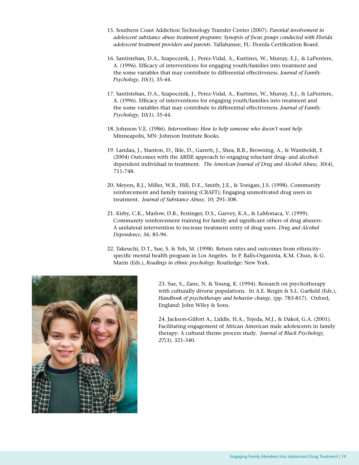- 15. Southern Coast Addiction Technology Transfer Center (2007). *Parental involvement in adolescent substance abuse treatment programs: Synopsis of focus groups conducted with Florida adolescent treatment providers and parents.* Tallahassee, FL: Florida Certification Board.
- 16. Santisteban, D.A., Szapocznik, J., Perez-Vidal, A., Kurtines, W., Murray, E.J., & LaPerriere, A. (1996). Efficacy of interventions for engaging youth/families into treatment and the some variables that may contribute to differential effectiveness. *Journal of Family Psychology, 10(1),* 35-44.
- 17. Santisteban, D.A., Szapocznik, J., Perez-Vidal, A., Kurtines, W., Murray, E.J., & LaPerriere, A. (1996). Efficacy of interventions for engaging youth/families into treatment and the some variables that may contribute to differential effectiveness. *Journal of Family Psychology, 10(1),* 35-44.
- 18. Johnson V.E. (1986). *Interventions: How to help someone who doesn't want help.* Minneapolis, MN: Johnson Institute Books.
- 19. Landau, J., Stanton, D., Ikle, D., Garrett, J., Shea, R.R., Browning, A., & Wamboldt, F. (2004) Outcomes with the ARISE approach to engaging reluctant drug- and alcoholdependent individual in treatment. *The American Journal of Drug and Alcohol Abuse, 30(4),* 711-748.
- 20. Meyers, R.J., Miller, W.R., Hill, D.E., Smith, J.E., & Tonigan, J.S. (1998). Community reinforcement and family training (CRAFT); Engaging unmotivated drug users in treatment. *Journal of Substance Abuse, 10,* 291-308.
- 21. Kirby, C.K., Marlow, D.B., Festinger, D.S., Garvey, K.A., & LaMonaca, V. (1999). Community reinforcement training for family and significant others of drug abusers: A unilateral intervention to increase treatment entry of drug users. *Drug and Alcohol Dependence, 56,* 85-96.
- 22. Takeuchi, D.T., Sue, S. & Yeh, M. (1998). Return rates and outcomes from ethnicityspecific mental health program in Los Angeles. In P. Balls-Organista, K.M. Chun, & G. Marin (Eds.), *Readings in ethnic psychology.* Routledge: New York.



23. Sue, S., Zane, N. & Young, K. (1994). Research on psychotherapy with culturally diverse populations. In A.E. Bergin & S.L. Garfield (Eds.), *Handbook of psychotherapy and behavior change,* (pp. 783-817). Oxford, England: John Wiley & Sons.

24. Jackson-Gilfort A., Liddle, H.A., Tejeda, M.J., & Dakof, G.A. (2001). Facilitating engagement of African American male adolescents in family therapy: A cultural theme process study. *Journal of Black Psychology, 27(3),* 321-340.